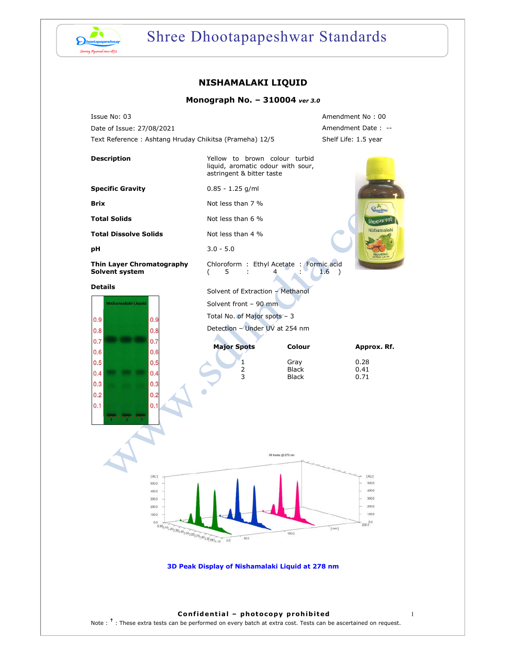

# Shree Dhootapapeshwar Standards

## **NISHAMALAKI LIQUID**

## **Monograph No. – 310004** *ver 3.0*

Issue No: 03 Amendment No : 00 Date of Issue: 27/08/2021 **Amendment Date : --**Text Reference : Ashtang Hruday Chikitsa (Prameha) 12/5 Shelf Life: 1.5 year



 $0.9$  $0.9$  $0.8$  $0.8$  $0.7$  $0.7$  $0.6$  $0.\overline{6}$  $0.5$ 0.  $0.4$ 0.4  $0.3$ 0.  $0.2$  $0.2$ 0.  $0.1$ 

Total No. of Major spots – 3 Detection – Under UV at 254 nm

 $\blacktriangle$ 

| <b>Major Spots</b> | Colour       | Approx. Rf. |
|--------------------|--------------|-------------|
|                    | Gray         | 0.28        |
|                    | <b>Black</b> | 0.41        |
|                    | <b>Black</b> | N 71        |



**3D Peak Display of Nishamalaki Liquid at 278 nm**

## **Confidential – photocopy prohibited** 1

Note : <sup>†</sup> : These extra tests can be performed on every batch at extra cost. Tests can be ascertained on request.